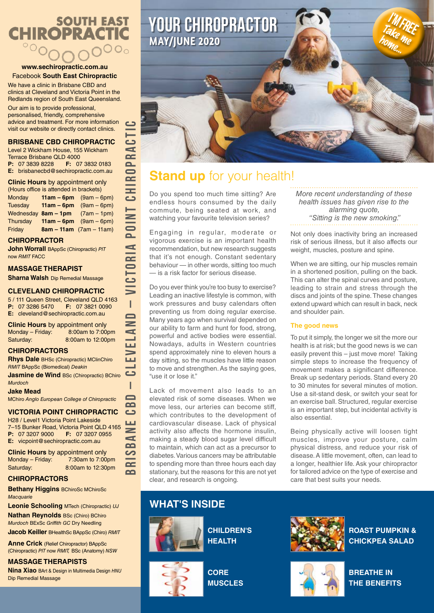# **SOUTH EAST CHIROPRACTIC**  $^{\circ}$

### **www.sechiropractic.com.au** Facebook **South East Chiropractic**

We have a clinic in Brisbane CBD and clinics at Cleveland and Victoria Point in the Redlands region of South East Queensland.

Our aim is to provide professional, personalised, friendly, comprehensive advice and treatment. For more information visit our website or directly contact clinics.

## **BRISBANE CBD CHIROPRACTIC**

Level 2 Wickham House, 155 Wickham Terrace Brisbane QLD 4000<br>**P:** 07 3839 8228 **F:** 07 **F:** 07 3832 0183 **E:** brisbanecbd@sechiropractic.com.au

**Clinic Hours** by appointment only

(Hours office is attended in brackets) Monday **11am – 6pm** (9am – 6pm) Tuesday **11am – 6pm** (9am – 6pm) Wednesday **8am – 1pm** (7am – 1pm) Thursday **11am – 6pm** (9am – 6pm) Friday **8am – 11am** (7am – 11am)

## **CHIROPRACTOR**

**John Worrall** BAppSc (Chiropractic) *PIT* now *RMIT* FACC

### **MASSAGE THERAPIST**

**Sharna Walsh** Dip Remedial Massage

### **CLEVELAND CHIROPRACTIC**

5 / 111 Queen Street, Cleveland QLD 4163<br>**P:** 07 3286 5470 **F:** 07 3821 0090 **P:** 07 3286 5470 **E:** cleveland@sechiropractic.com.au

**BRISBANE CBD – CLEVELAND – VICTORIA POINT CHIROPRACTIC**

ı  $\Box$  $\mathbf{a}$ د ШĪ  $\geq$  $\blacksquare$  $\mathbf{a}$ တ  $\overline{\mathbf{C}}$  $\Omega$ 

<u>ت</u>  $\blacksquare$  $\overline{\mathbf{r}}$  $\overline{\mathbf{a}}$  $\blacksquare$  $\bar{c}$ **UHD** 

**DINT** 

 $\mathbf{r}$  $\mathbf{I}$  $\frac{1}{100}$  $\blacksquare$  $\overline{\textbf{5}}$  $\equiv$  $\overline{1}$  $\blacksquare$  $\, =$ d Щ  $\Rightarrow$ LЦ

**Clinic Hours** by appointment only<br>Monday – Friday: 8:00am to 7:00pm Monday – Friday: Saturday: 8:00am to 12:00pm

## **CHIROPRACTORS**

**Rhys Dale** BHSc (Chiropractic) MClinChiro *RMIT* BAppSc (Biomedical) *Deakin*

د **Jasmine de Wind BSc (Chiropractic) BChiro** *Murdoch*

#### **Jake Mead**

MChiro *Anglo European College of Chiropractic*

# **VICTORIA POINT CHIROPRACTIC**

H28 / Level1 Victoria Point Lakeside 7–15 Bunker Road, Victoria Point QLD 4165<br>**P:** 07 3207 9000 **F:** 07 3207 0955 **P:** 07 3207 9000 **F:** 07 3207 0955 **E:** vicpoint@sechiropractic.com.au

**Clinic Hours** by appointment only Monday – Friday: 7:30am to 7:00pm Saturday: 8:00am to 12:30pm

# **CHIROPRACTORS**

**Bethany Higgins** BChiroSc MChiroSc *Macquarie*

**Leonie Schooling** MTech (Chiropractic) *UJ* **Nathan Reynolds** BSc (Chiro) BChiro *Murdoch* BExSc *Griffith GC* Dry Needling

**Jacob Keiller** BHealthSc BAppSc (Chiro) *RMIT*

**Anne Crick** (Relief Chiropractor) BAppSc (Chiropractic) *PIT* now *RMIT,* BSc (Anatomy) *NSW*

**MASSAGE THERAPISTS Nina Xiao** BArt & Design in Multimedia Design *HNU* Dip Remedial Massage



# **Stand up** for your health!

Do you spend too much time sitting? Are endless hours consumed by the daily commute, being seated at work, and watching your favourite television series?

Engaging in regular, moderate or vigorous exercise is an important health recommendation, but new research suggests that it's not enough. Constant sedentary behaviour — in other words, sitting too much — is a risk factor for serious disease.

Do you ever think you're too busy to exercise? Leading an inactive lifestyle is common, with work pressures and busy calendars often preventing us from doing regular exercise. Many years ago when survival depended on our ability to farm and hunt for food, strong, powerful and active bodies were essential. Nowadays, adults in Western countries spend approximately nine to eleven hours a day sitting, so the muscles have little reason to move and strengthen. As the saying goes, "use it or lose it."

Lack of movement also leads to an elevated risk of some diseases. When we move less, our arteries can become stiff, which contributes to the development of cardiovascular disease. Lack of physical activity also affects the hormone insulin, making a steady blood sugar level difficult to maintain, which can act as a precursor to diabetes. Various cancers may be attributable to spending more than three hours each day stationary, but the reasons for this are not yet clear, and research is ongoing.

# **WHAT'S INSIDE**



**CHILDREN'S HEALTH**

**CORE MUSCLES**

**ROAST PUMPKIN & CHICKPEA SALAD** 



**BREATHE IN THE BENEFITS**

*More recent understanding of these health issues has given rise to the alarming quote, "Sitting is the new smoking."* 

Not only does inactivity bring an increased risk of serious illness, but it also affects our weight, muscles, posture and spine.

When we are sitting, our hip muscles remain in a shortened position, pulling on the back. This can alter the spinal curves and posture, leading to strain and stress through the discs and joints of the spine. These changes extend upward which can result in back, neck and shoulder pain.

## **The good news**

To put it simply, the longer we sit the more our health is at risk; but the good news is we can easily prevent this – just move more! Taking simple steps to increase the frequency of movement makes a significant difference. Break up sedentary periods. Stand every 20 to 30 minutes for several minutes of motion. Use a sit-stand desk, or switch your seat for an exercise ball. Structured, regular exercise is an important step, but incidental activity is also essential.

Being physically active will loosen tight muscles, improve your posture, calm physical distress, and reduce your risk of disease. A little movement, often, can lead to a longer, healthier life. Ask your chiropractor for tailored advice on the type of exercise and care that best suits your needs.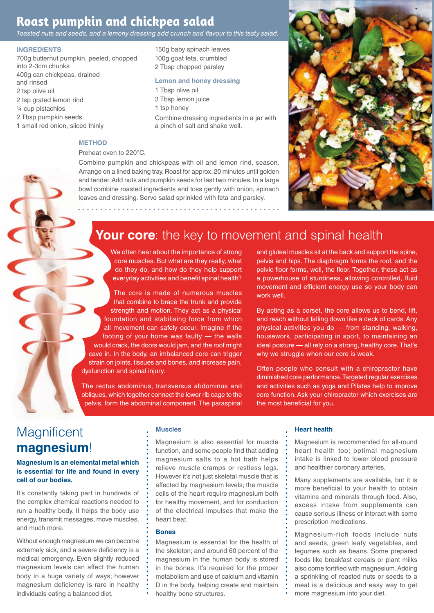# **Roast pumpkin and chickpea salad**

*Toasted nuts and seeds, and a lemony dressing add crunch and flavour to this tasty salad.*

### **INGREDIENTS**

- 700g butternut pumpkin, peeled, chopped into 2-3cm chunks 400g can chickpeas, drained and rinsed 2 tsp olive oil 2 tsp grated lemon rind ¼ cup pistachios 2 Tbsp pumpkin seeds 1 small red onion, sliced thinly
	- **METHOD**

#### Preheat oven to 220°C.

Combine pumpkin and chickpeas with oil and lemon rind, season. Arrange on a lined baking tray. Roast for approx. 20 minutes until golden and tender. Add nuts and pumpkin seeds for last two minutes. In a large bowl combine roasted ingredients and toss gently with onion, spinach leaves and dressing. Serve salad sprinkled with feta and parsley.

1 Tbsp olive oil 3 Tbsp lemon juice 1 tsp honey

150g baby spinach leaves 100g goat feta, crumbled 2 Tbsp chopped parsley

**Lemon and honey dressing**

a pinch of salt and shake well.

Combine dressing ingredients in a jar with



# **Your core**: the key to movement and spinal health

We often hear about the importance of strong core muscles. But what are they really, what do they do, and how do they help support everyday activities and benefit spinal health?

The core is made of numerous muscles that combine to brace the trunk and provide strength and motion. They act as a physical foundation and stabilising force from which all movement can safely occur. Imagine if the footing of your home was faulty — the walls would crack, the doors would jam, and the roof might cave in. In the body, an imbalanced core can trigger strain on joints, tissues and bones, and increase pain, dysfunction and spinal injury.

The rectus abdominus, transversus abdominus and obliques, which together connect the lower rib cage to the pelvis, form the abdominal component. The paraspinal

and gluteal muscles sit at the back and support the spine, pelvis and hips. The diaphragm forms the roof, and the pelvic floor forms, well, the floor. Together, these act as a powerhouse of sturdiness, allowing controlled, fluid movement and efficient energy use so your body can work well.

By acting as a corset, the core allows us to bend, lift, and reach without falling down like a deck of cards. Any physical activities you do — from standing, walking, housework, participating in sport, to maintaining an ideal posture — all rely on a strong, healthy core. That's why we struggle when our core is weak.

Often people who consult with a chiropractor have diminished core performance. Targeted regular exercises and activities such as yoga and Pilates help to improve core function. Ask your chiropractor which exercises are the most beneficial for you.

# **Magnificent magnesium**!

### **Magnesium is an elemental metal which is essential for life and found in every cell of our bodies.**

It's constantly taking part in hundreds of the complex chemical reactions needed to run a healthy body. It helps the body use energy, transmit messages, move muscles, and much more.

Without enough magnesium we can become extremely sick, and a severe deficiency is a medical emergency. Even slightly reduced magnesium levels can affect the human body in a huge variety of ways; however magnesium deficiency is rare in healthy individuals eating a balanced diet.

### **Muscles**

Magnesium is also essential for muscle function, and some people find that adding magnesium salts to a hot bath helps relieve muscle cramps or restless legs. However it's not just skeletal muscle that is affected by magnesium levels; the muscle cells of the heart require magnesium both for healthy movement, and for conduction of the electrical impulses that make the heart beat.

### **Bones**

Magnesium is essential for the health of the skeleton; and around 60 percent of the magnesium in the human body is stored in the bones. It's required for the proper metabolism and use of calcium and vitamin D in the body, helping create and maintain healthy bone structures.

#### **Heart health**

Magnesium is recommended for all-round heart health too; optimal magnesium intake is linked to lower blood pressure and healthier coronary arteries.

Many supplements are available, but it is more beneficial to your health to obtain vitamins and minerals through food. Also, excess intake from supplements can cause serious illness or interact with some prescription medications.

Magnesium-rich foods include nuts and seeds, green leafy vegetables, and legumes such as beans. Some prepared foods like breakfast cereals or plant milks also come fortified with magnesium. Adding a sprinkling of roasted nuts or seeds to a meal is a delicious and easy way to get more magnesium into your diet.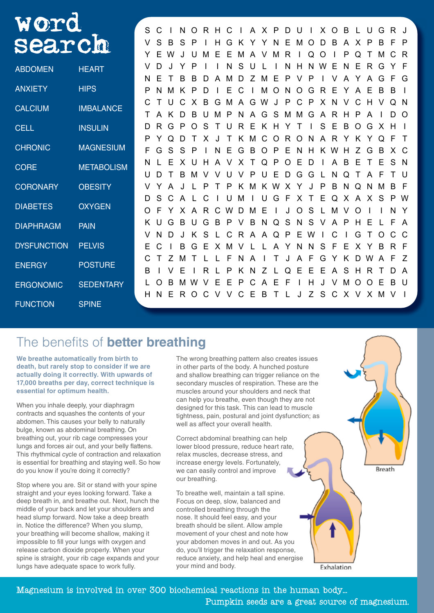| WOTC               |                   |   |   |   |   |   |    |   |   |   |   |       |     |   |                  |   |   |          |   |   |          |    |    |          |
|--------------------|-------------------|---|---|---|---|---|----|---|---|---|---|-------|-----|---|------------------|---|---|----------|---|---|----------|----|----|----------|
|                    |                   | S | C |   | N | O | R. | H | C |   |   | A X P |     | D | U                |   | X | $\Omega$ | B |   | U        | G  | R. |          |
| search             |                   | V | S | в |   |   |    | н | G |   |   |       |     | F | м                |   |   | B        |   |   | P        | B  |    | P        |
|                    |                   |   | Е |   |   |   |    |   | F | м | A |       | м   | R |                  | Q |   |          | Р | Q |          | M  |    | R        |
| <b>ABDOMEN</b>     | <b>HEART</b>      |   |   |   |   |   |    |   |   | S |   |       |     | N |                  |   |   |          |   | Е | R        | G  |    | F        |
|                    |                   | N |   |   |   | В |    |   |   |   |   | м     | Е   | Р |                  | Р |   |          |   |   | A        | G  |    | G        |
| <b>ANXIETY</b>     | <b>HIPS</b>       | P |   |   |   |   |    |   |   |   |   | м     | O   | N | O                | G |   | Е        |   | A |          | B  | B  |          |
| <b>CALCIUM</b>     | <b>IMBALANCE</b>  |   |   |   |   |   | В  | G | м |   | G | W     |     | P |                  | Р |   |          |   | C | н        |    |    | -N       |
|                    |                   |   |   |   |   |   |    |   | Р | N | А | G     | S   | м | м                | G |   |          |   |   |          |    |    | $\Omega$ |
| <b>CELL</b>        | <b>INSULIN</b>    | D | R |   |   |   |    |   |   | R | F | ĸ     | н   |   |                  |   | S | Е        | B | O | G        | X. | H  |          |
|                    |                   | P |   |   |   |   |    |   |   |   |   |       | ( ) | R | $\left( \right)$ |   |   | R        |   | ĸ |          | Q  |    | $\top$   |
| <b>CHRONIC</b>     | <b>MAGNESIUM</b>  | F | G |   |   | Р |    |   | F | G | В |       | Р   | Е |                  | н |   |          |   | 7 | G        | B  |    | C.       |
| <b>CORE</b>        | <b>METABOLISM</b> | N |   |   |   |   |    |   |   | x |   | O     |     |   | E                |   |   |          | В |   |          |    |    | <b>N</b> |
|                    |                   | U |   |   |   |   |    |   |   |   |   |       | F   |   | G                | G |   |          |   |   |          |    |    |          |
| <b>CORONARY</b>    | <b>OBESITY</b>    |   |   |   |   |   |    |   |   |   |   | ĸ     |     | x |                  |   | Р | в        | N | Q | N        | м  | B  | F        |
| <b>DIABETES</b>    | <b>OXYGEN</b>     | D | S |   |   |   |    |   |   |   |   |       | G   |   | х                |   | F | Q        | X | A | X        | S  | P  | W        |
|                    |                   | O |   |   |   |   |    |   |   |   |   | F     |     |   | O                | S |   | м        |   |   |          |    |    |          |
| <b>DIAPHRAGM</b>   | <b>PAIN</b>       | K |   |   | в |   | G  | B |   |   | B | N     | O   | S | N                | S |   |          | P |   |          |    |    | A        |
|                    |                   |   |   |   |   |   |    |   |   | R | A |       | Q   | P | Е                |   |   |          |   | G |          |    |    | C        |
| <b>DYSFUNCTION</b> | <b>PELVIS</b>     | Е |   |   |   |   |    |   |   |   |   |       |     |   | N                | N | S |          |   |   |          | B  |    | F        |
| <b>ENERGY</b>      | <b>POSTURE</b>    |   |   |   |   |   |    |   |   |   |   |       |     |   | А                | F | G |          |   | D |          |    |    | Z        |
|                    |                   | B |   |   |   |   |    |   |   |   |   |       |     |   | F                | F | F | А        | S | н | R        |    |    | A        |
| <b>ERGONOMIC</b>   | <b>SEDENTARY</b>  |   |   | в | м |   |    |   |   | P |   |       |     |   |                  | н |   |          | м |   |          |    |    |          |
|                    |                   | Н | N |   | R | O |    |   |   | C | Е | В     |     |   | J                | 7 | S | C        | X | V | $\times$ | M  |    |          |
| <b>FUNCTION</b>    | <b>SPINE</b>      |   |   |   |   |   |    |   |   |   |   |       |     |   |                  |   |   |          |   |   |          |    |    |          |

# The benefits of **better breathing**

**We breathe automatically from birth to death, but rarely stop to consider if we are actually doing it correctly. With upwards of 17,000 breaths per day, correct technique is essential for optimum health.**

When you inhale deeply, your diaphragm contracts and squashes the contents of your abdomen. This causes your belly to naturally bulge, known as abdominal breathing. On breathing out, your rib cage compresses your lungs and forces air out, and your belly flattens. This rhythmical cycle of contraction and relaxation is essential for breathing and staying well. So how do you know if you're doing it correctly?

Stop where you are. Sit or stand with your spine straight and your eyes looking forward. Take a deep breath in, and breathe out. Next, hunch the middle of your back and let your shoulders and head slump forward. Now take a deep breath in. Notice the difference? When you slump, your breathing will become shallow, making it impossible to fill your lungs with oxygen and release carbon dioxide properly. When your spine is straight, your rib cage expands and your lungs have adequate space to work fully.

The wrong breathing pattern also creates issues in other parts of the body. A hunched posture and shallow breathing can trigger reliance on the secondary muscles of respiration. These are the muscles around your shoulders and neck that can help you breathe, even though they are not designed for this task. This can lead to muscle tightness, pain, postural and joint dysfunction; as well as affect your overall health.

Correct abdominal breathing can help lower blood pressure, reduce heart rate, relax muscles, decrease stress, and increase energy levels. Fortunately, we can easily control and improve our breathing.

To breathe well, maintain a tall spine. Focus on deep, slow, balanced and controlled breathing through the nose. It should feel easy, and your breath should be silent. Allow ample movement of your chest and note how your abdomen moves in and out. As you do, you'll trigger the relaxation response, reduce anxiety, and help heal and energise your mind and body.

Magnesium is involved in over 300 biochemical reactions in the human body...

Pumpkin seeds are a great source of magnesium.

Exhalation

**Breath**